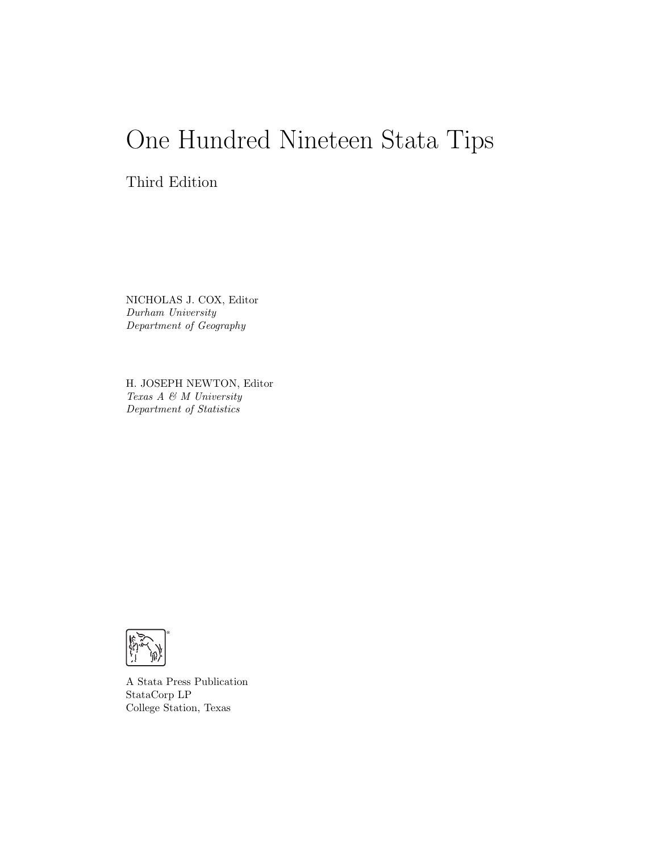# One Hundred Nineteen Stata Tips

## Third Edition

NICHOLAS J. COX, Editor Durham University Department of Geography

H. JOSEPH NEWTON, Editor Texas A & M University Department of Statistics



A Stata Press Publication StataCorp LP College Station, Texas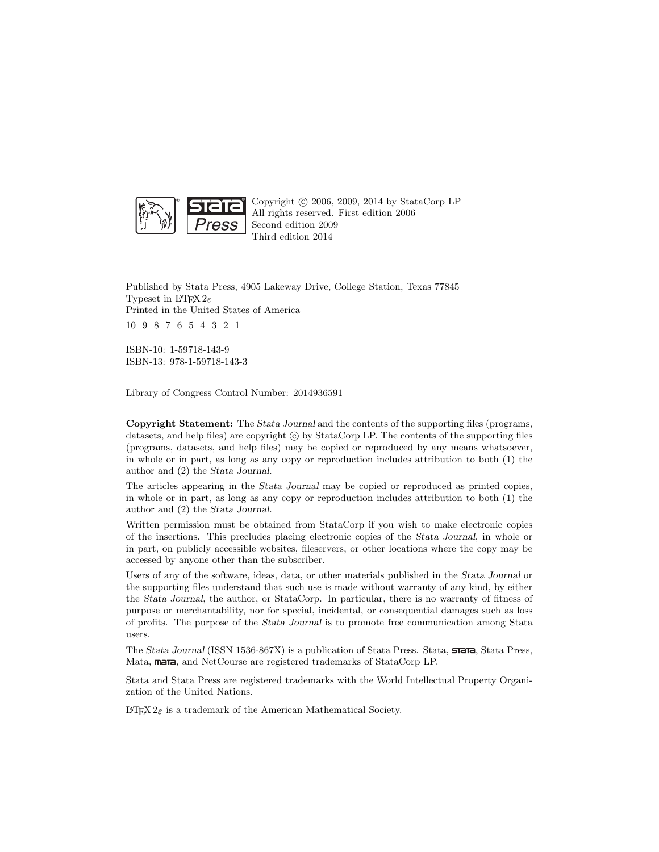

Copyright © 2006, 2009, 2014 by StataCorp LP All rights reserved. First edition 2006 Second edition 2009 Third edition 2014

Published by Stata Press, 4905 Lakeway Drive, College Station, Texas 77845 Typeset in  $\mathbb{P}\text{Tr} X 2 \epsilon$ Printed in the United States of America 10 9 8 7 6 5 4 3 2 1

ISBN-10: 1-59718-143-9 ISBN-13: 978-1-59718-143-3

Library of Congress Control Number: 2014936591

Copyright Statement: The Stata Journal and the contents of the supporting files (programs, datasets, and help files) are copyright  $\odot$  by StataCorp LP. The contents of the supporting files (programs, datasets, and help files) may be copied or reproduced by any means whatsoever, in whole or in part, as long as any copy or reproduction includes attribution to both (1) the author and (2) the Stata Journal.

The articles appearing in the Stata Journal may be copied or reproduced as printed copies, in whole or in part, as long as any copy or reproduction includes attribution to both (1) the author and (2) the Stata Journal.

Written permission must be obtained from StataCorp if you wish to make electronic copies of the insertions. This precludes placing electronic copies of the Stata Journal, in whole or in part, on publicly accessible websites, fileservers, or other locations where the copy may be accessed by anyone other than the subscriber.

Users of any of the software, ideas, data, or other materials published in the Stata Journal or the supporting files understand that such use is made without warranty of any kind, by either the Stata Journal, the author, or StataCorp. In particular, there is no warranty of fitness of purpose or merchantability, nor for special, incidental, or consequential damages such as loss of profits. The purpose of the Stata Journal is to promote free communication among Stata users.

The Stata Journal (ISSN 1536-867X) is a publication of Stata Press. Stata, **STATA**, Stata Press, Mata, **mata**, and NetCourse are registered trademarks of StataCorp LP.

Stata and Stata Press are registered trademarks with the World Intellectual Property Organization of the United Nations.

L<sup>A</sup>TEX 2ε is a trademark of the American Mathematical Society.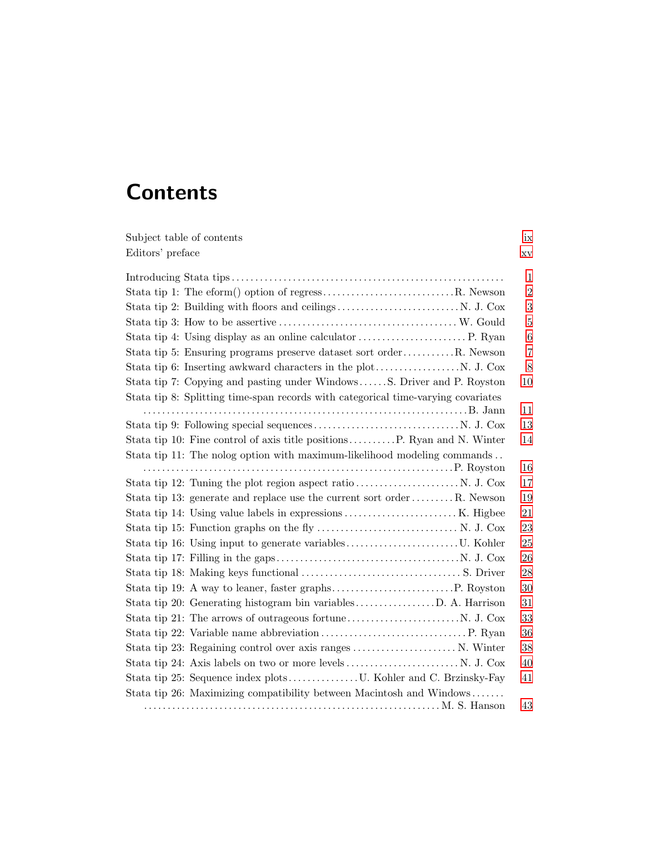## **Contents**

| Subject table of contents<br>Editors' preface                                     | ix<br>XV                       |
|-----------------------------------------------------------------------------------|--------------------------------|
|                                                                                   |                                |
|                                                                                   | $\mathbf{1}$<br>$\overline{2}$ |
| Stata tip 1: The eform() option of regressR. Newson                               |                                |
|                                                                                   | $\overline{3}$                 |
|                                                                                   | $\overline{5}$                 |
|                                                                                   | $\boldsymbol{6}$               |
| Stata tip 5: Ensuring programs preserve dataset sort orderR. Newson               | $\overline{7}$                 |
|                                                                                   | 8                              |
| Stata tip 7: Copying and pasting under WindowsS. Driver and P. Royston            | 10                             |
| Stata tip 8: Splitting time-span records with categorical time-varying covariates |                                |
|                                                                                   | 11                             |
|                                                                                   | 13                             |
|                                                                                   | 14                             |
| Stata tip 11: The nolog option with maximum-likelihood modeling commands          |                                |
|                                                                                   | 16                             |
|                                                                                   | 17                             |
| Stata tip 13: generate and replace use the current sort order R. Newson           | 19                             |
|                                                                                   | 21                             |
|                                                                                   | 23                             |
|                                                                                   | 25                             |
|                                                                                   | 26                             |
|                                                                                   | 28                             |
|                                                                                   | 30                             |
| Stata tip 20: Generating histogram bin variablesD. A. Harrison                    | 31                             |
|                                                                                   | 33                             |
|                                                                                   | 36                             |
|                                                                                   | 38                             |
|                                                                                   | 40                             |
|                                                                                   | 41                             |
| Stata tip 26: Maximizing compatibility between Macintosh and Windows              |                                |
|                                                                                   | 43                             |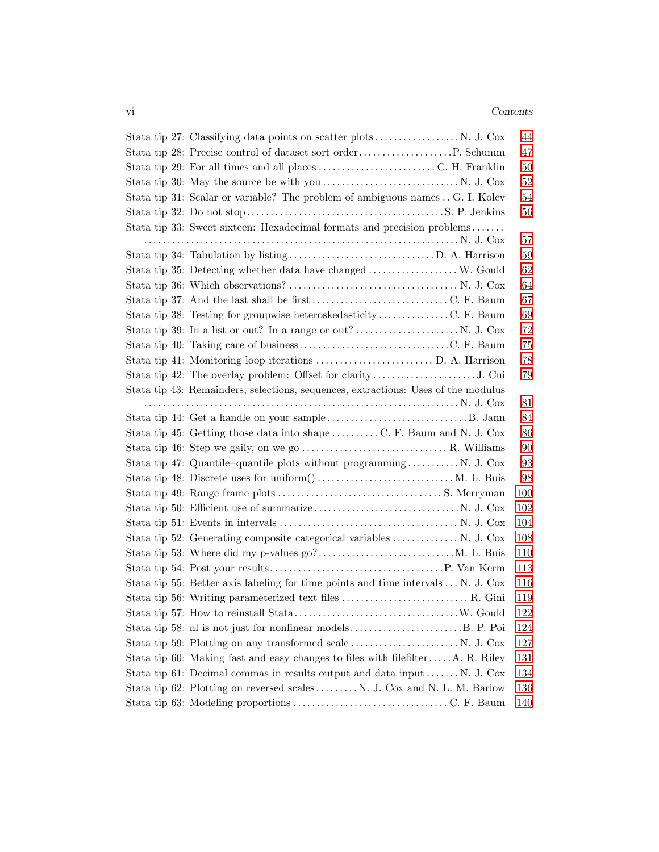|                                                                                   | 44      |
|-----------------------------------------------------------------------------------|---------|
|                                                                                   | 47      |
|                                                                                   | $50\,$  |
|                                                                                   | 52      |
| Stata tip 31: Scalar or variable? The problem of ambiguous names G. I. Kolev      | 54      |
|                                                                                   | 56      |
| Stata tip 33: Sweet sixteen: Hexadecimal formats and precision problems           |         |
|                                                                                   | 57      |
|                                                                                   | 59      |
|                                                                                   | 62      |
|                                                                                   | 64      |
|                                                                                   | 67      |
| Stata tip 38: Testing for groupwise heteroskedasticityC. F. Baum                  | 69      |
|                                                                                   | 72      |
|                                                                                   | 75      |
|                                                                                   | 78      |
|                                                                                   | 79      |
| Stata tip 43: Remainders, selections, sequences, extractions: Uses of the modulus |         |
|                                                                                   | 81      |
|                                                                                   | 84      |
|                                                                                   | 86      |
|                                                                                   | 90      |
| Stata tip 47: Quantile-quantile plots without programming N. J. Cox               | 93      |
|                                                                                   | 98      |
|                                                                                   | 100     |
|                                                                                   | 102     |
|                                                                                   | 104     |
| Stata tip 52: Generating composite categorical variables  N. J. Cox               | 108     |
|                                                                                   | 110     |
|                                                                                   | 113     |
| Stata tip 55: Better axis labeling for time points and time intervals  N. J. Cox  | 116     |
|                                                                                   | 119     |
|                                                                                   | $122\,$ |
|                                                                                   | 124     |
|                                                                                   | 127     |
| Stata tip 60: Making fast and easy changes to files with filefilter A. R. Riley   | 131     |
| Stata tip 61: Decimal commas in results output and data input  N. J. Cox          | 134     |
| Stata tip 62: Plotting on reversed scales N. J. Cox and N. L. M. Barlow           | 136     |
|                                                                                   | 140     |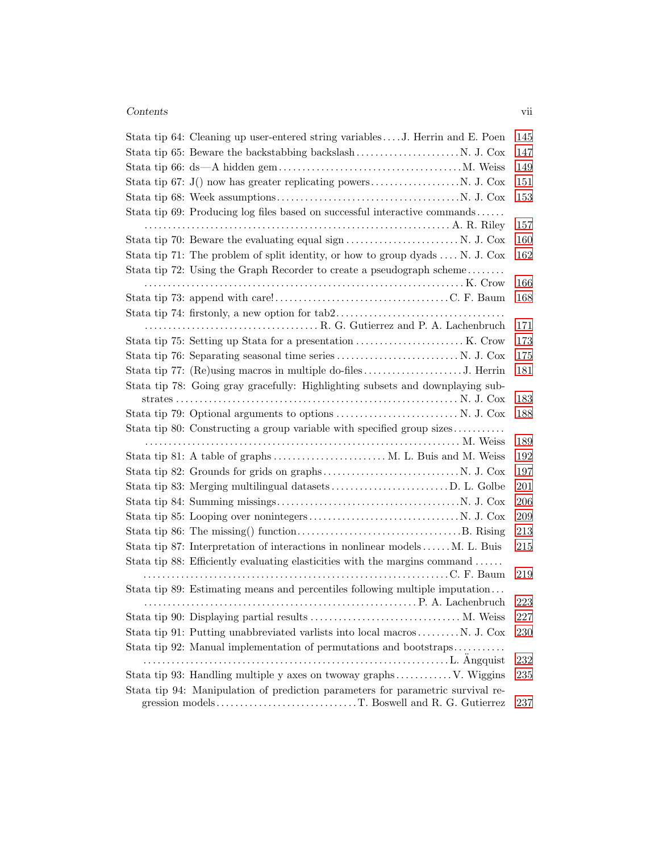#### *Contents* vii

| Stata tip 64: Cleaning up user-entered string variablesJ. Herrin and E. Poen    | 145        |
|---------------------------------------------------------------------------------|------------|
|                                                                                 | 147        |
|                                                                                 | 149        |
|                                                                                 |            |
|                                                                                 | 151        |
|                                                                                 | 153        |
| Stata tip 69: Producing log files based on successful interactive commands      | 157        |
|                                                                                 | 160        |
| Stata tip 71: The problem of split identity, or how to group dyads  N. J. Cox   | 162        |
| Stata tip 72: Using the Graph Recorder to create a pseudograph scheme           |            |
|                                                                                 | 166        |
|                                                                                 | 168        |
|                                                                                 |            |
|                                                                                 | 171        |
|                                                                                 | 173        |
|                                                                                 | 175        |
|                                                                                 | 181        |
| Stata tip 78: Going gray gracefully: Highlighting subsets and downplaying sub-  |            |
|                                                                                 | 183        |
|                                                                                 | 188        |
| Stata tip 80: Constructing a group variable with specified group sizes          |            |
|                                                                                 | 189        |
| Stata tip 81: A table of graphs  M. L. Buis and M. Weiss                        | 192        |
|                                                                                 | 197        |
|                                                                                 | 201        |
|                                                                                 | 206        |
|                                                                                 | 209        |
|                                                                                 | 213        |
| Stata tip 87: Interpretation of interactions in nonlinear modelsM. L. Buis      | 215        |
| Stata tip 88: Efficiently evaluating elasticities with the margins command      |            |
|                                                                                 | 219        |
| Stata tip 89: Estimating means and percentiles following multiple imputation    |            |
|                                                                                 | 223        |
|                                                                                 | 227        |
| Stata tip 91: Putting unabbreviated varlists into local macros N. J. Cox        | <b>230</b> |
| Stata tip 92: Manual implementation of permutations and bootstraps              |            |
|                                                                                 | 232        |
| Stata tip 93: Handling multiple y axes on twoway graphs V. Wiggins              | 235        |
| Stata tip 94: Manipulation of prediction parameters for parametric survival re- |            |
|                                                                                 | 237        |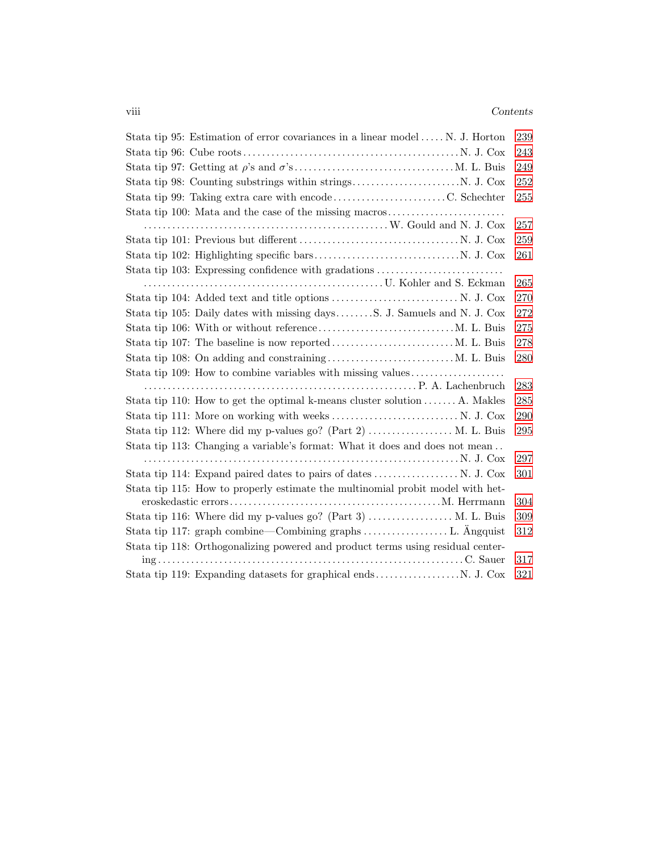| Stata tip 95: Estimation of error covariances in a linear model  N. J. Horton   | 239 |
|---------------------------------------------------------------------------------|-----|
|                                                                                 | 243 |
|                                                                                 | 249 |
|                                                                                 | 252 |
|                                                                                 | 255 |
| Stata tip 100: Mata and the case of the missing macros                          |     |
|                                                                                 | 257 |
|                                                                                 | 259 |
|                                                                                 | 261 |
| Stata tip 103: Expressing confidence with gradations                            |     |
|                                                                                 | 265 |
|                                                                                 | 270 |
| Stata tip 105: Daily dates with missing days S. J. Samuels and N. J. Cox        | 272 |
|                                                                                 | 275 |
|                                                                                 | 278 |
|                                                                                 | 280 |
| Stata tip 109: How to combine variables with missing values                     |     |
|                                                                                 | 283 |
| Stata tip 110: How to get the optimal k-means cluster solution  A. Makles       | 285 |
|                                                                                 | 290 |
| Stata tip 112: Where did my p-values go? (Part 2)  M. L. Buis                   | 295 |
| Stata tip 113: Changing a variable's format: What it does and does not mean     |     |
|                                                                                 | 297 |
|                                                                                 | 301 |
| Stata tip 115: How to properly estimate the multinomial probit model with het-  |     |
|                                                                                 | 304 |
| Stata tip 116: Where did my p-values go? (Part 3)  M. L. Buis                   | 309 |
|                                                                                 | 312 |
| Stata tip 118: Orthogonalizing powered and product terms using residual center- |     |
|                                                                                 | 317 |
|                                                                                 | 321 |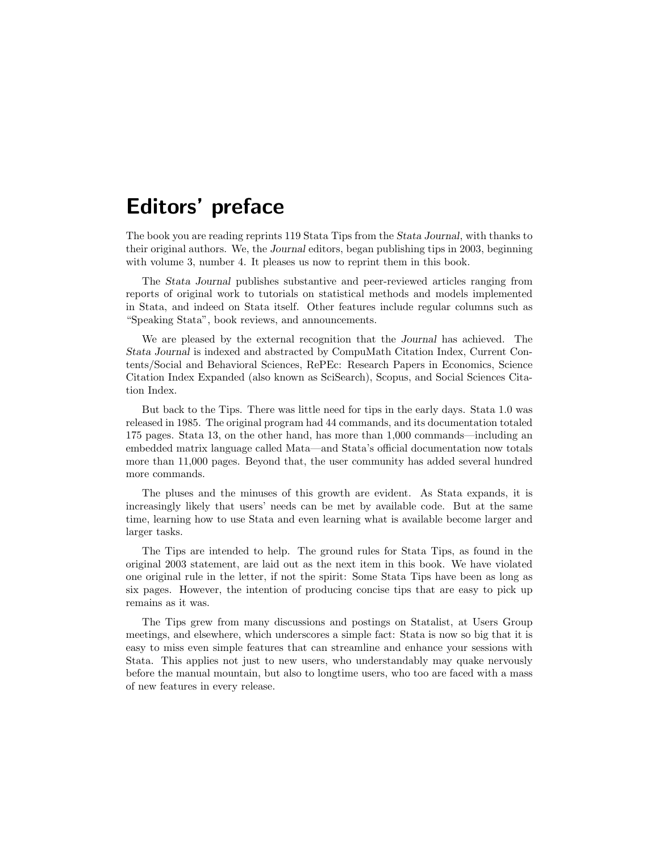## Editors' preface

The book you are reading reprints 119 Stata Tips from the *Stata Journal*, with thanks to their original authors. We, the *Journal* editors, began publishing tips in 2003, beginning with volume 3, number 4. It pleases us now to reprint them in this book.

The *Stata Journal* publishes substantive and peer-reviewed articles ranging from reports of original work to tutorials on statistical methods and models implemented in Stata, and indeed on Stata itself. Other features include regular columns such as "Speaking Stata", book reviews, and announcements.

We are pleased by the external recognition that the *Journal* has achieved. The *Stata Journal* is indexed and abstracted by CompuMath Citation Index, Current Contents/Social and Behavioral Sciences, RePEc: Research Papers in Economics, Science Citation Index Expanded (also known as SciSearch), Scopus, and Social Sciences Citation Index.

But back to the Tips. There was little need for tips in the early days. Stata 1.0 was released in 1985. The original program had 44 commands, and its documentation totaled 175 pages. Stata 13, on the other hand, has more than 1,000 commands—including an embedded matrix language called Mata—and Stata's official documentation now totals more than 11,000 pages. Beyond that, the user community has added several hundred more commands.

The pluses and the minuses of this growth are evident. As Stata expands, it is increasingly likely that users' needs can be met by available code. But at the same time, learning how to use Stata and even learning what is available become larger and larger tasks.

The Tips are intended to help. The ground rules for Stata Tips, as found in the original 2003 statement, are laid out as the next item in this book. We have violated one original rule in the letter, if not the spirit: Some Stata Tips have been as long as six pages. However, the intention of producing concise tips that are easy to pick up remains as it was.

The Tips grew from many discussions and postings on Statalist, at Users Group meetings, and elsewhere, which underscores a simple fact: Stata is now so big that it is easy to miss even simple features that can streamline and enhance your sessions with Stata. This applies not just to new users, who understandably may quake nervously before the manual mountain, but also to longtime users, who too are faced with a mass of new features in every release.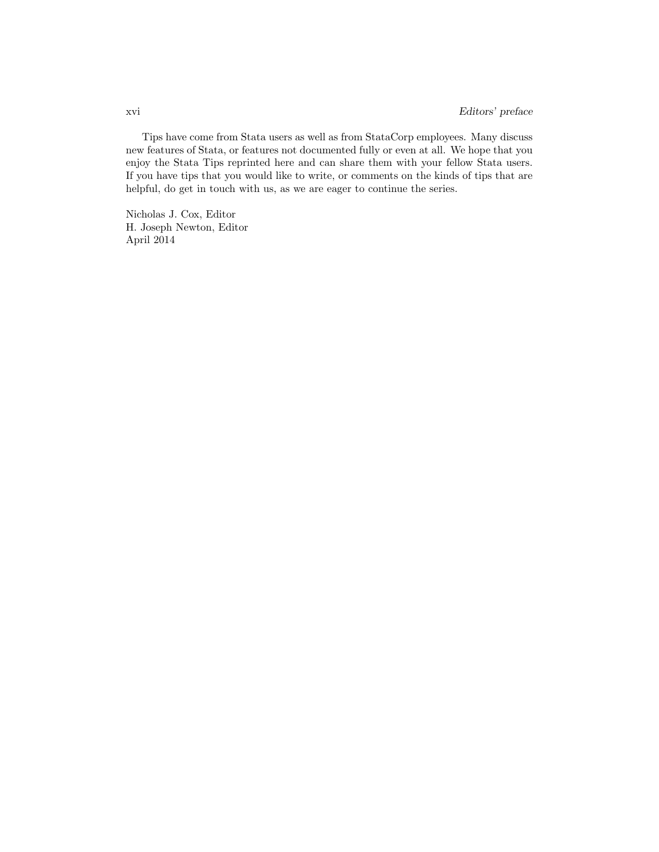Tips have come from Stata users as well as from StataCorp employees. Many discuss new features of Stata, or features not documented fully or even at all. We hope that you enjoy the Stata Tips reprinted here and can share them with your fellow Stata users. If you have tips that you would like to write, or comments on the kinds of tips that are helpful, do get in touch with us, as we are eager to continue the series.

Nicholas J. Cox, Editor H. Joseph Newton, Editor April 2014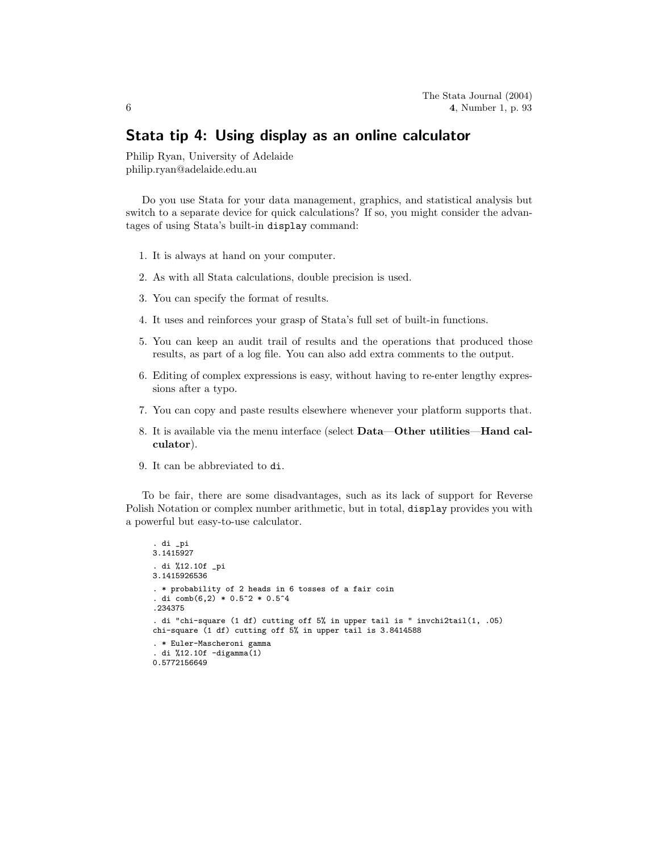#### Stata tip 4: Using display as an online calculator

Philip Ryan, University of Adelaide philip.ryan@adelaide.edu.au

Do you use Stata for your data management, graphics, and statistical analysis but switch to a separate device for quick calculations? If so, you might consider the advantages of using Stata's built-in display command:

- 1. It is always at hand on your computer.
- 2. As with all Stata calculations, double precision is used.
- 3. You can specify the format of results.
- 4. It uses and reinforces your grasp of Stata's full set of built-in functions.
- 5. You can keep an audit trail of results and the operations that produced those results, as part of a log file. You can also add extra comments to the output.
- 6. Editing of complex expressions is easy, without having to re-enter lengthy expressions after a typo.
- 7. You can copy and paste results elsewhere whenever your platform supports that.
- 8. It is available via the menu interface (select Data—Other utilities—Hand calculator).
- 9. It can be abbreviated to di.

To be fair, there are some disadvantages, such as its lack of support for Reverse Polish Notation or complex number arithmetic, but in total, display provides you with a powerful but easy-to-use calculator.

```
. di _pi
3.1415927
. di %12.10f _pi
3.1415926536
. * probability of 2 heads in 6 tosses of a fair coin
. di comb(6,2) * 0.5^2 * 0.5^4.234375
. di "chi-square (1 df) cutting off 5% in upper tail is " invchi2tail(1, .05)
chi-square (1 df) cutting off 5% in upper tail is 3.8414588
. * Euler-Mascheroni gamma
. di %12.10f -digamma(1)
0.5772156649
```
6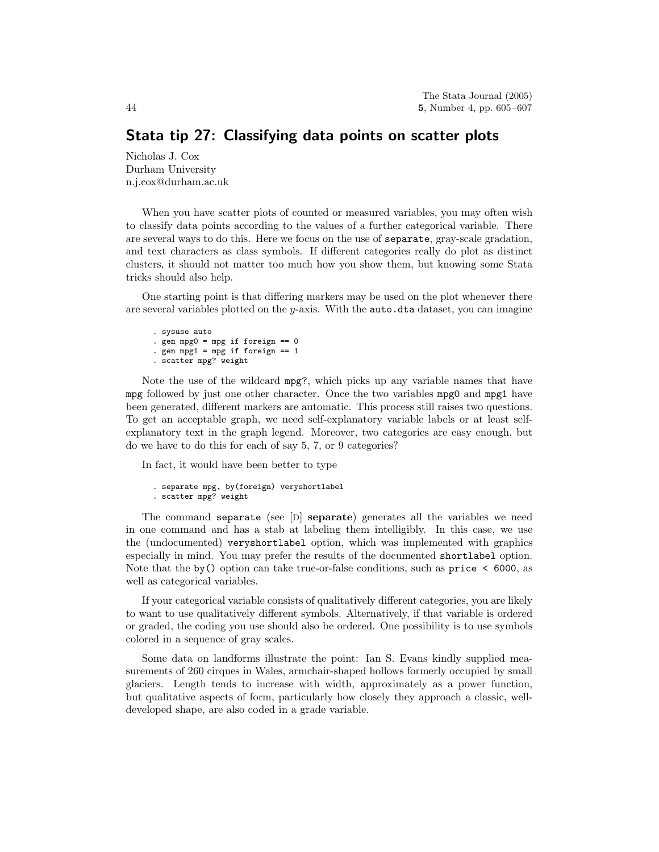#### Stata tip 27: Classifying data points on scatter plots

Nicholas J. Cox Durham University n.j.cox@durham.ac.uk

When you have scatter plots of counted or measured variables, you may often wish to classify data points according to the values of a further categorical variable. There are several ways to do this. Here we focus on the use of separate, gray-scale gradation, and text characters as class symbols. If different categories really do plot as distinct clusters, it should not matter too much how you show them, but knowing some Stata tricks should also help.

One starting point is that differing markers may be used on the plot whenever there are several variables plotted on the y-axis. With the  $\alpha$ uto.dta dataset, you can imagine

```
. sysuse auto
. gen mpg0 = mpg if foreign == 0
. gen mpg1 = mpg if foreign == 1. scatter mpg? weight
```
Note the use of the wildcard mpg?, which picks up any variable names that have mpg followed by just one other character. Once the two variables mpg0 and mpg1 have been generated, different markers are automatic. This process still raises two questions. To get an acceptable graph, we need self-explanatory variable labels or at least selfexplanatory text in the graph legend. Moreover, two categories are easy enough, but do we have to do this for each of say 5, 7, or 9 categories?

In fact, it would have been better to type

```
. separate mpg, by(foreign) veryshortlabel
. scatter mpg? weight
```
The command separate (see [D] separate) generates all the variables we need in one command and has a stab at labeling them intelligibly. In this case, we use the (undocumented) veryshortlabel option, which was implemented with graphics especially in mind. You may prefer the results of the documented shortlabel option. Note that the by() option can take true-or-false conditions, such as price < 6000, as well as categorical variables.

If your categorical variable consists of qualitatively different categories, you are likely to want to use qualitatively different symbols. Alternatively, if that variable is ordered or graded, the coding you use should also be ordered. One possibility is to use symbols colored in a sequence of gray scales.

Some data on landforms illustrate the point: Ian S. Evans kindly supplied measurements of 260 cirques in Wales, armchair-shaped hollows formerly occupied by small glaciers. Length tends to increase with width, approximately as a power function, but qualitative aspects of form, particularly how closely they approach a classic, welldeveloped shape, are also coded in a grade variable.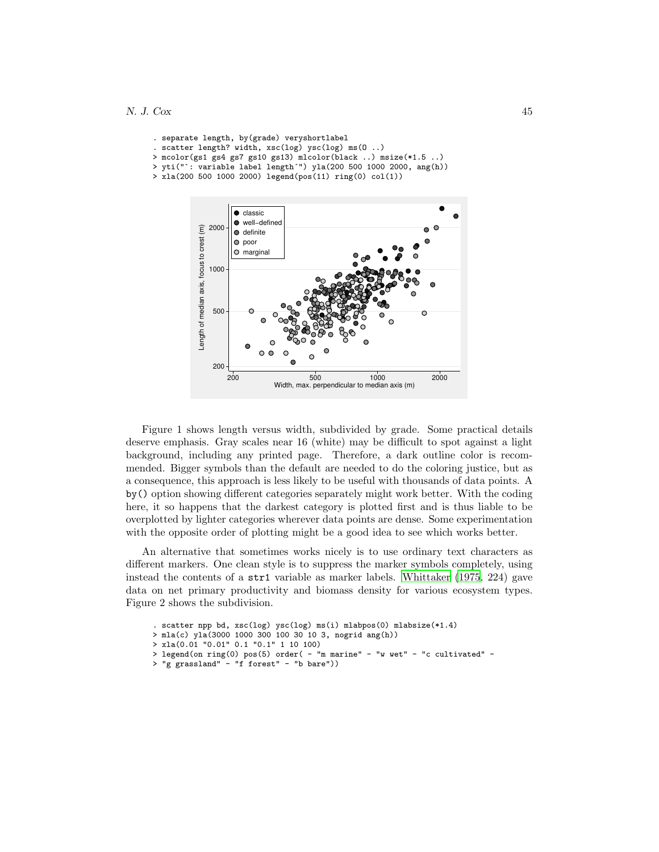#### *N. J. Cox* 45

```
. separate length, by(grade) veryshortlabel
 scatter length? width, xsc(log) ysc(log) ms(0 ..)
> mcolor(gs1 gs4 gs7 gs10 gs13) mlcolor(black ..) msize(*1.5 ..)
> yti("`: variable label length´") yla(200 500 1000 2000, ang(h))
```
> xla(200 500 1000 2000) legend(pos(11) ring(0) col(1))



Figure 1 shows length versus width, subdivided by grade. Some practical details deserve emphasis. Gray scales near 16 (white) may be difficult to spot against a light background, including any printed page. Therefore, a dark outline color is recommended. Bigger symbols than the default are needed to do the coloring justice, but as a consequence, this approach is less likely to be useful with thousands of data points. A by() option showing different categories separately might work better. With the coding here, it so happens that the darkest category is plotted first and is thus liable to be overplotted by lighter categories wherever data points are dense. Some experimentation with the opposite order of plotting might be a good idea to see which works better.

An alternative that sometimes works nicely is to use ordinary text characters as different markers. One clean style is to suppress the marker symbols completely, using instead the contents of a  $str1$  variable as marker labels. Whittaker (1975, 224) gave data on net primary productivity and biomass density for various ecosystem types. Figure 2 shows the subdivision.

```
. scatter npp bd, xsc(log) ysc(log) ms(i) mlabpos(0) mlabsize(*1.4)
> mla(c) yla(3000 1000 300 100 30 10 3, nogrid ang(h))
> xla(0.01 "0.01" 0.1 "0.1" 1 10 100)
> legend(on ring(0) pos(5) order( - "m marine" - "w wet" - "c cultivated" -
> "g grassland" - "f forest" - "b bare"))
```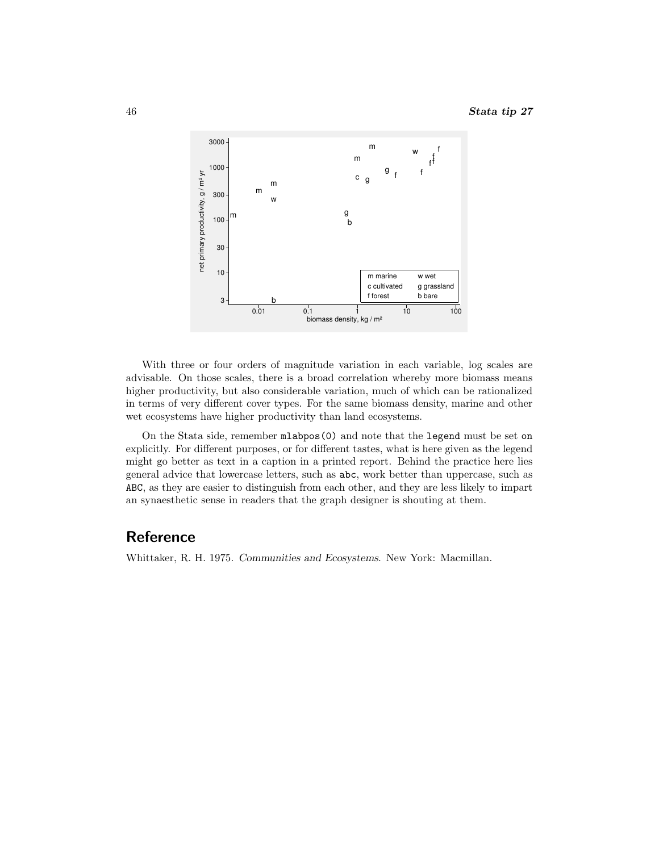

With three or four orders of magnitude variation in each variable, log scales are advisable. On those scales, there is a broad correlation whereby more biomass means higher productivity, but also considerable variation, much of which can be rationalized in terms of very different cover types. For the same biomass density, marine and other wet ecosystems have higher productivity than land ecosystems.

On the Stata side, remember mlabpos(0) and note that the legend must be set on explicitly. For different purposes, or for different tastes, what is here given as the legend might go better as text in a caption in a printed report. Behind the practice here lies general advice that lowercase letters, such as abc, work better than uppercase, such as ABC, as they are easier to distinguish from each other, and they are less likely to impart an synaesthetic sense in readers that the graph designer is shouting at them.

## Reference

Whittaker, R. H. 1975. *Communities and Ecosystems*. New York: Macmillan.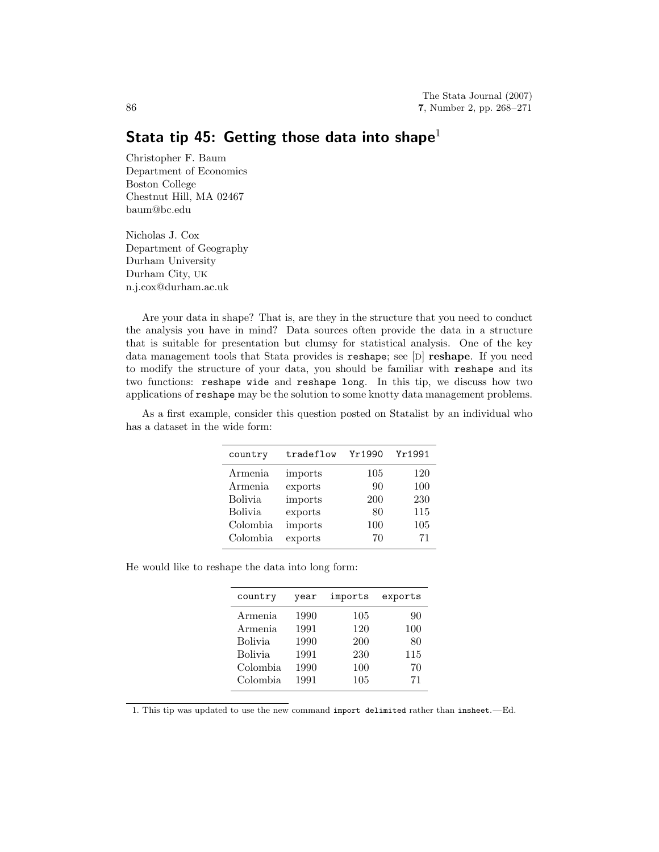### Stata tip 45: Getting those data into shape<sup>1</sup>

Christopher F. Baum Department of Economics Boston College Chestnut Hill, MA 02467 baum@bc.edu

Nicholas J. Cox Department of Geography Durham University Durham City, UK n.j.cox@durham.ac.uk

Are your data in shape? That is, are they in the structure that you need to conduct the analysis you have in mind? Data sources often provide the data in a structure that is suitable for presentation but clumsy for statistical analysis. One of the key data management tools that Stata provides is reshape; see [D] reshape. If you need to modify the structure of your data, you should be familiar with reshape and its two functions: reshape wide and reshape long. In this tip, we discuss how two applications of reshape may be the solution to some knotty data management problems.

As a first example, consider this question posted on Statalist by an individual who has a dataset in the wide form:

| country                                                            | tradeflow                                           | Yr1990                               | Yr1991                                |
|--------------------------------------------------------------------|-----------------------------------------------------|--------------------------------------|---------------------------------------|
| Armenia<br>Armenia<br><b>Bolivia</b><br><b>Bolivia</b><br>Colombia | imports<br>exports<br>imports<br>exports<br>imports | 105<br>90<br><b>200</b><br>80<br>100 | 120<br>100<br>230<br>115<br>105<br>71 |
| Colombia                                                           | exports                                             | 70                                   |                                       |

He would like to reshape the data into long form:

| country        | year | imports | exports |
|----------------|------|---------|---------|
| Armenia        | 1990 | 105     | 90      |
| Armenia        | 1991 | 120     | 100     |
| <b>Bolivia</b> | 1990 | 200     | 80      |
| <b>Bolivia</b> | 1991 | 230     | 115     |
| Colombia       | 1990 | 100     | 70      |
| Colombia       | 1991 | 105     | 71      |

1. This tip was updated to use the new command import delimited rather than insheet.—Ed.

86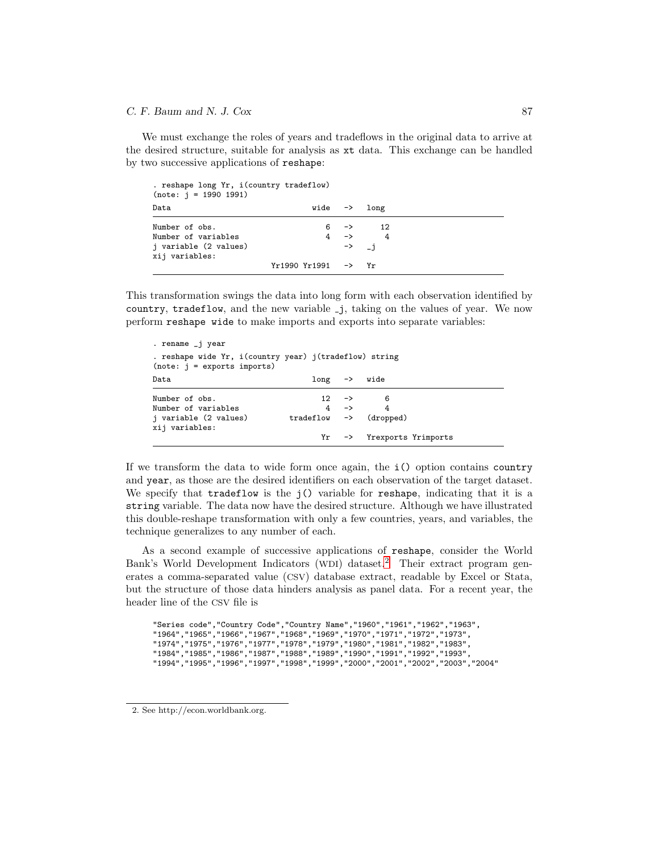#### *C. F. Baum and N. J. Cox* 87

We must exchange the roles of years and tradeflows in the original data to arrive at the desired structure, suitable for analysis as xt data. This exchange can be handled by two successive applications of reshape:

| . reshape long Yr, i(country tradeflow)<br>$(note: j = 1990 1991)$ |                                |                             |                         |  |
|--------------------------------------------------------------------|--------------------------------|-----------------------------|-------------------------|--|
| Data                                                               |                                |                             | wide $\rightarrow$ long |  |
| Number of obs.                                                     |                                |                             | $6 \rightarrow 12$      |  |
| Number of variables                                                |                                |                             | $\rightarrow$ 4         |  |
| j variable (2 values)<br>xij variables:                            |                                | $\rightarrow$ $\rightarrow$ |                         |  |
|                                                                    | $Yr1990 Yr1991 \rightarrow Yr$ |                             |                         |  |

This transformation swings the data into long form with each observation identified by country, tradeflow, and the new variable j, taking on the values of year. We now perform reshape wide to make imports and exports into separate variables:

| . rename _j year                                                                        |                                   |               |                           |  |
|-----------------------------------------------------------------------------------------|-----------------------------------|---------------|---------------------------|--|
| . reshape wide Yr, i(country year) j(tradeflow) string<br>$(note: j = exports imports)$ |                                   |               |                           |  |
| Data                                                                                    | $long \rightarrow$ wide           |               |                           |  |
| Number of obs.                                                                          |                                   |               | $12 \rightarrow 6$        |  |
| Number of variables                                                                     | 4                                 | $\rightarrow$ | 4                         |  |
| j variable (2 values)<br>xij variables:                                                 | tradeflow $\rightarrow$ (dropped) |               |                           |  |
|                                                                                         |                                   |               | Yr -> Yrexports Yrimports |  |

If we transform the data to wide form once again, the i() option contains country and year, as those are the desired identifiers on each observation of the target dataset. We specify that  $tradeflow$  is the  $j()$  variable for  $reshape$ , indicating that it is a string variable. The data now have the desired structure. Although we have illustrated this double-reshape transformation with only a few countries, years, and variables, the technique generalizes to any number of each.

As a second example of successive applications of reshape, consider the World Bank's World Development Indicators (WDI) dataset.<sup>2</sup> Their extract program generates a comma-separated value (CSV) database extract, readable by Excel or Stata, but the structure of those data hinders analysis as panel data. For a recent year, the header line of the CSV file is

```
"Series code","Country Code","Country Name","1960","1961","1962","1963",
"1964","1965","1966","1967","1968","1969","1970","1971","1972","1973",
"1974","1975","1976","1977","1978","1979","1980","1981","1982","1983",
"1984","1985","1986","1987","1988","1989","1990","1991","1992","1993",
"1994","1995","1996","1997","1998","1999","2000","2001","2002","2003","2004"
```
<sup>2.</sup> See http://econ.worldbank.org.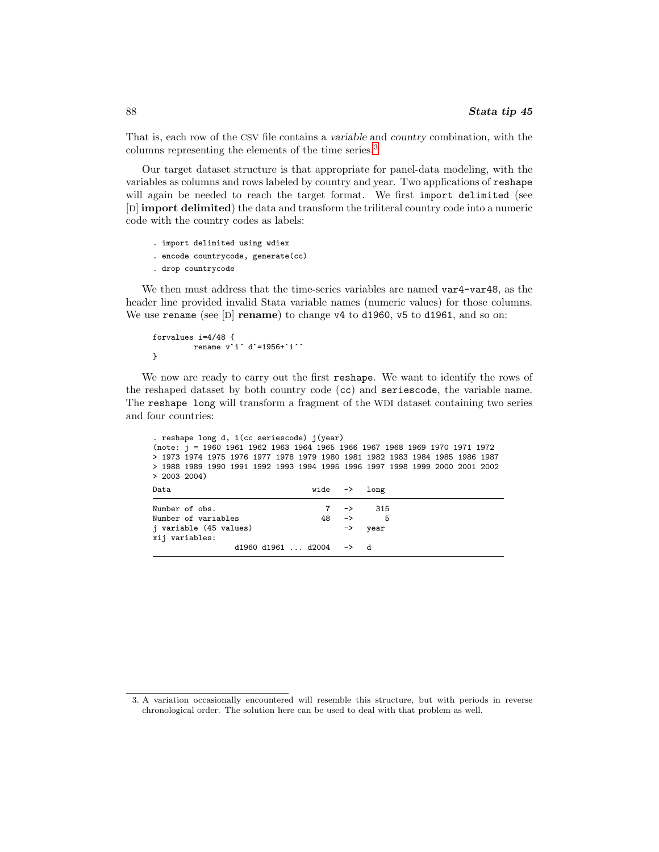That is, each row of the CSV file contains a *variable* and *country* combination, with the columns representing the elements of the time series.<sup>3</sup>

Our target dataset structure is that appropriate for panel-data modeling, with the variables as columns and rows labeled by country and year. Two applications of reshape will again be needed to reach the target format. We first import delimited (see [D] import delimited) the data and transform the triliteral country code into a numeric code with the country codes as labels:

```
. import delimited using wdiex
. encode countrycode, generate(cc)
. drop countrycode
```
We then must address that the time-series variables are named var4-var48, as the header line provided invalid Stata variable names (numeric values) for those columns. We use rename (see  $[D]$  rename) to change v4 to d1960, v5 to d1961, and so on:

```
forvalues i=4/48 {
             rename v'i<sup>-</sup> d'=1956+'i<sup>-</sup>'
}
```
We now are ready to carry out the first reshape. We want to identify the rows of the reshaped dataset by both country code (cc) and seriescode, the variable name. The reshape long will transform a fragment of the WDI dataset containing two series and four countries:

| . reshape long d, $i$ (cc seriescode) $i$ (year)                              |                         |    |                    |  |
|-------------------------------------------------------------------------------|-------------------------|----|--------------------|--|
| (note: $j = 1960$ 1961 1962 1963 1964 1965 1966 1967 1968 1969 1970 1971 1972 |                         |    |                    |  |
| > 1973 1974 1975 1976 1977 1978 1979 1980 1981 1982 1983 1984 1985 1986 1987  |                         |    |                    |  |
| > 1988 1989 1990 1991 1992 1993 1994 1995 1996 1997 1998 1999 2000 2001 2002  |                         |    |                    |  |
| $> 2003$ 2004)                                                                |                         |    |                    |  |
| Data                                                                          | wide $\rightarrow$ long |    |                    |  |
| Number of obs.                                                                |                         |    | $\rightarrow$ 315  |  |
| Number of variables                                                           |                         |    | $48 \rightarrow 5$ |  |
| j variable (45 values)                                                        |                         | -> | year               |  |
| xij variables:                                                                |                         |    |                    |  |
| d1960 d1961  d2004 $\rightarrow$ d                                            |                         |    |                    |  |

<sup>3.</sup> A variation occasionally encountered will resemble this structure, but with periods in reverse chronological order. The solution here can be used to deal with that problem as well.